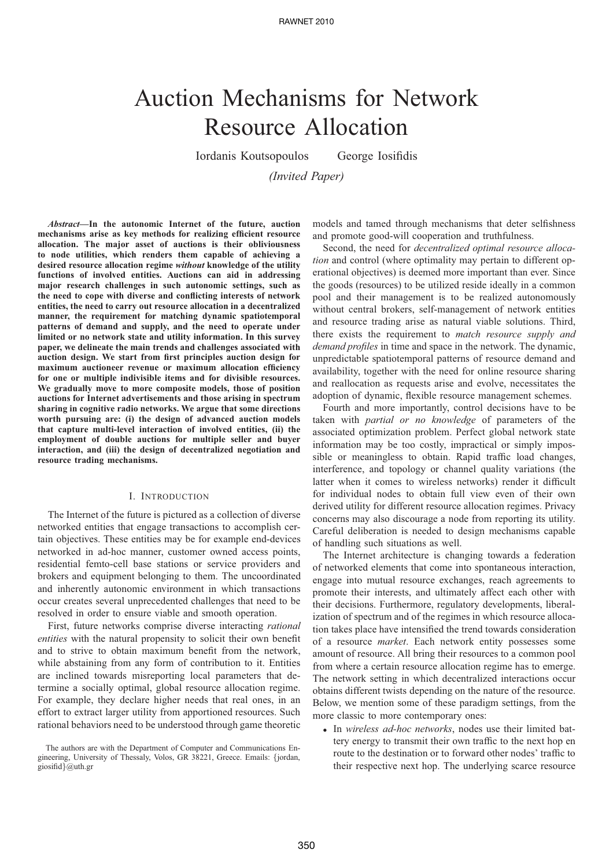# Auction Mechanisms for Network Resource Allocation

Iordanis Koutsopoulos George Iosifidis

*(Invited Paper)*

*Abstract***—In the autonomic Internet of the future, auction mechanisms arise as key methods for realizing efficient resource allocation. The major asset of auctions is their obliviousness to node utilities, which renders them capable of achieving a desired resource allocation regime** *without* **knowledge of the utility functions of involved entities. Auctions can aid in addressing major research challenges in such autonomic settings, such as the need to cope with diverse and conflicting interests of network entities, the need to carry out resource allocation in a decentralized manner, the requirement for matching dynamic spatiotemporal patterns of demand and supply, and the need to operate under limited or no network state and utility information. In this survey paper, we delineate the main trends and challenges associated with auction design. We start from first principles auction design for maximum auctioneer revenue or maximum allocation efficiency for one or multiple indivisible items and for divisible resources. We gradually move to more composite models, those of position auctions for Internet advertisements and those arising in spectrum sharing in cognitive radio networks. We argue that some directions worth pursuing are: (i) the design of advanced auction models that capture multi-level interaction of involved entities, (ii) the employment of double auctions for multiple seller and buyer interaction, and (iii) the design of decentralized negotiation and resource trading mechanisms.**

## I. INTRODUCTION

The Internet of the future is pictured as a collection of diverse networked entities that engage transactions to accomplish certain objectives. These entities may be for example end-devices networked in ad-hoc manner, customer owned access points, residential femto-cell base stations or service providers and brokers and equipment belonging to them. The uncoordinated and inherently autonomic environment in which transactions occur creates several unprecedented challenges that need to be resolved in order to ensure viable and smooth operation.

First, future networks comprise diverse interacting *rational entities* with the natural propensity to solicit their own benefit and to strive to obtain maximum benefit from the network, while abstaining from any form of contribution to it. Entities are inclined towards misreporting local parameters that determine a socially optimal, global resource allocation regime. For example, they declare higher needs that real ones, in an effort to extract larger utility from apportioned resources. Such rational behaviors need to be understood through game theoretic

models and tamed through mechanisms that deter selfishness and promote good-will cooperation and truthfulness.

Second, the need for *decentralized optimal resource allocation* and control (where optimality may pertain to different operational objectives) is deemed more important than ever. Since the goods (resources) to be utilized reside ideally in a common pool and their management is to be realized autonomously without central brokers, self-management of network entities and resource trading arise as natural viable solutions. Third, there exists the requirement to *match resource supply and demand profiles* in time and space in the network. The dynamic, unpredictable spatiotemporal patterns of resource demand and availability, together with the need for online resource sharing and reallocation as requests arise and evolve, necessitates the adoption of dynamic, flexible resource management schemes.

Fourth and more importantly, control decisions have to be taken with *partial or no knowledge* of parameters of the associated optimization problem. Perfect global network state information may be too costly, impractical or simply impossible or meaningless to obtain. Rapid traffic load changes, interference, and topology or channel quality variations (the latter when it comes to wireless networks) render it difficult for individual nodes to obtain full view even of their own derived utility for different resource allocation regimes. Privacy concerns may also discourage a node from reporting its utility. Careful deliberation is needed to design mechanisms capable of handling such situations as well.

The Internet architecture is changing towards a federation of networked elements that come into spontaneous interaction, engage into mutual resource exchanges, reach agreements to promote their interests, and ultimately affect each other with their decisions. Furthermore, regulatory developments, liberalization of spectrum and of the regimes in which resource allocation takes place have intensified the trend towards consideration of a resource *market*. Each network entity possesses some amount of resource. All bring their resources to a common pool from where a certain resource allocation regime has to emerge. The network setting in which decentralized interactions occur obtains different twists depending on the nature of the resource. Below, we mention some of these paradigm settings, from the more classic to more contemporary ones:

• In *wireless ad-hoc networks*, nodes use their limited battery energy to transmit their own traffic to the next hop en route to the destination or to forward other nodes' traffic to their respective next hop. The underlying scarce resource

The authors are with the Department of Computer and Communications Engineering, University of Thessaly, Volos, GR 38221, Greece. Emails: {jordan, giosifid}@uth.gr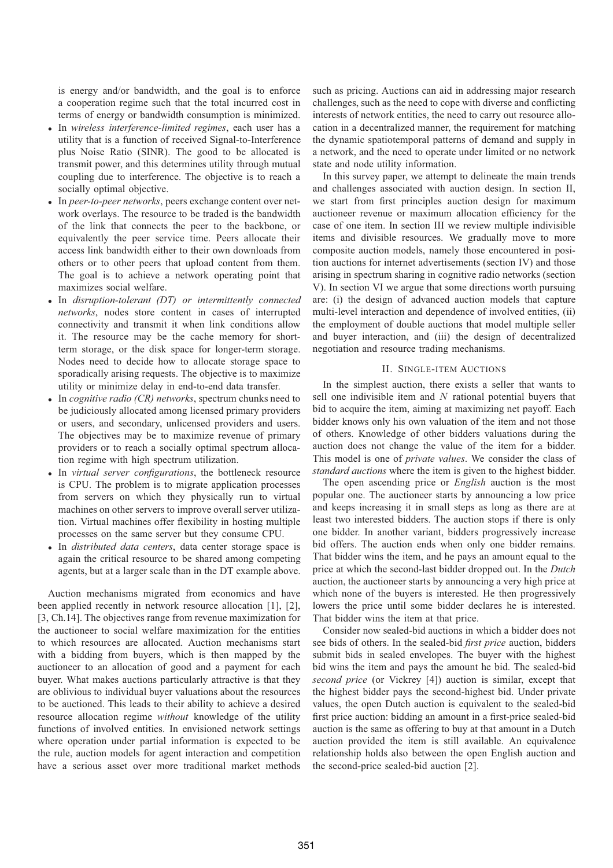is energy and/or bandwidth, and the goal is to enforce a cooperation regime such that the total incurred cost in terms of energy or bandwidth consumption is minimized.

- In *wireless interference-limited regimes*, each user has a utility that is a function of received Signal-to-Interference plus Noise Ratio (SINR). The good to be allocated is transmit power, and this determines utility through mutual coupling due to interference. The objective is to reach a socially optimal objective.
- In *peer-to-peer networks*, peers exchange content over network overlays. The resource to be traded is the bandwidth of the link that connects the peer to the backbone, or equivalently the peer service time. Peers allocate their access link bandwidth either to their own downloads from others or to other peers that upload content from them. The goal is to achieve a network operating point that maximizes social welfare.
- In *disruption-tolerant (DT) or intermittently connected networks*, nodes store content in cases of interrupted connectivity and transmit it when link conditions allow it. The resource may be the cache memory for shortterm storage, or the disk space for longer-term storage. Nodes need to decide how to allocate storage space to sporadically arising requests. The objective is to maximize utility or minimize delay in end-to-end data transfer.
- In *cognitive radio (CR) networks*, spectrum chunks need to be judiciously allocated among licensed primary providers or users, and secondary, unlicensed providers and users. The objectives may be to maximize revenue of primary providers or to reach a socially optimal spectrum allocation regime with high spectrum utilization.
- In *virtual server configurations*, the bottleneck resource is CPU. The problem is to migrate application processes from servers on which they physically run to virtual machines on other servers to improve overall server utilization. Virtual machines offer flexibility in hosting multiple processes on the same server but they consume CPU.
- In *distributed data centers*, data center storage space is again the critical resource to be shared among competing agents, but at a larger scale than in the DT example above.

Auction mechanisms migrated from economics and have been applied recently in network resource allocation [1], [2], [3, Ch.14]. The objectives range from revenue maximization for the auctioneer to social welfare maximization for the entities to which resources are allocated. Auction mechanisms start with a bidding from buyers, which is then mapped by the auctioneer to an allocation of good and a payment for each buyer. What makes auctions particularly attractive is that they are oblivious to individual buyer valuations about the resources to be auctioned. This leads to their ability to achieve a desired resource allocation regime *without* knowledge of the utility functions of involved entities. In envisioned network settings where operation under partial information is expected to be the rule, auction models for agent interaction and competition have a serious asset over more traditional market methods

such as pricing. Auctions can aid in addressing major research challenges, such as the need to cope with diverse and conflicting interests of network entities, the need to carry out resource allocation in a decentralized manner, the requirement for matching the dynamic spatiotemporal patterns of demand and supply in a network, and the need to operate under limited or no network state and node utility information.

In this survey paper, we attempt to delineate the main trends and challenges associated with auction design. In section II, we start from first principles auction design for maximum auctioneer revenue or maximum allocation efficiency for the case of one item. In section III we review multiple indivisible items and divisible resources. We gradually move to more composite auction models, namely those encountered in position auctions for internet advertisements (section IV) and those arising in spectrum sharing in cognitive radio networks (section V). In section VI we argue that some directions worth pursuing are: (i) the design of advanced auction models that capture multi-level interaction and dependence of involved entities, (ii) the employment of double auctions that model multiple seller and buyer interaction, and (iii) the design of decentralized negotiation and resource trading mechanisms.

## II. SINGLE-ITEM AUCTIONS

In the simplest auction, there exists a seller that wants to sell one indivisible item and  $N$  rational potential buyers that bid to acquire the item, aiming at maximizing net payoff. Each bidder knows only his own valuation of the item and not those of others. Knowledge of other bidders valuations during the auction does not change the value of the item for a bidder. This model is one of *private values*. We consider the class of *standard auctions* where the item is given to the highest bidder.

The open ascending price or *English* auction is the most popular one. The auctioneer starts by announcing a low price and keeps increasing it in small steps as long as there are at least two interested bidders. The auction stops if there is only one bidder. In another variant, bidders progressively increase bid offers. The auction ends when only one bidder remains. That bidder wins the item, and he pays an amount equal to the price at which the second-last bidder dropped out. In the *Dutch* auction, the auctioneer starts by announcing a very high price at which none of the buyers is interested. He then progressively lowers the price until some bidder declares he is interested. That bidder wins the item at that price.

Consider now sealed-bid auctions in which a bidder does not see bids of others. In the sealed-bid *first price* auction, bidders submit bids in sealed envelopes. The buyer with the highest bid wins the item and pays the amount he bid. The sealed-bid *second price* (or Vickrey [4]) auction is similar, except that the highest bidder pays the second-highest bid. Under private values, the open Dutch auction is equivalent to the sealed-bid first price auction: bidding an amount in a first-price sealed-bid auction is the same as offering to buy at that amount in a Dutch auction provided the item is still available. An equivalence relationship holds also between the open English auction and the second-price sealed-bid auction [2].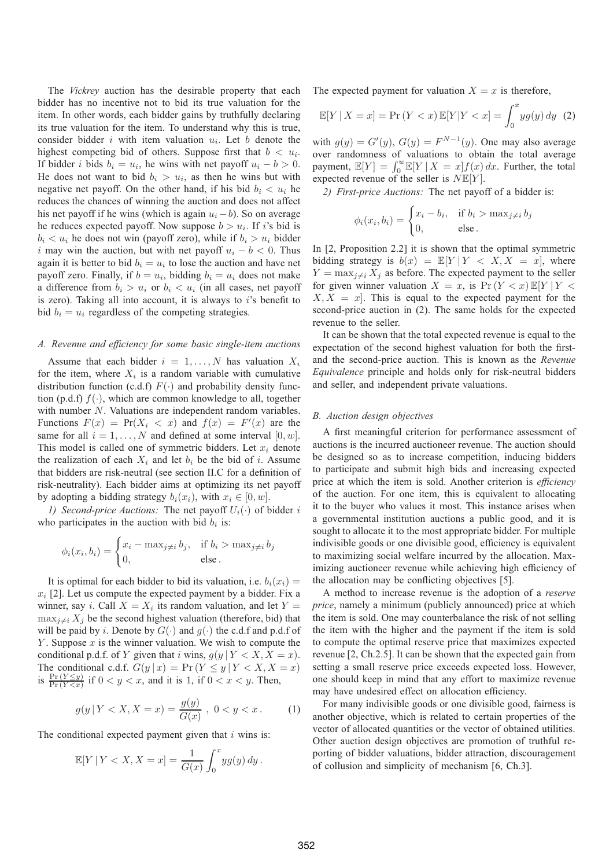The *Vickrey* auction has the desirable property that each bidder has no incentive not to bid its true valuation for the item. In other words, each bidder gains by truthfully declaring its true valuation for the item. To understand why this is true, consider bidder  $i$  with item valuation  $u_i$ . Let  $b$  denote the highest competing bid of others. Suppose first that  $b < u_i$ . If bidder i bids  $b_i = u_i$ , he wins with net payoff  $u_i - b > 0$ . He does not want to bid  $b_i > u_i$ , as then he wins but with negative net payoff. On the other hand, if his bid  $b_i < u_i$  he reduces the chances of winning the auction and does not affect his net payoff if he wins (which is again  $u_i - b$ ). So on average he reduces expected payoff. Now suppose  $b > u_i$ . If i's bid is  $b_i < u_i$  he does not win (payoff zero), while if  $b_i > u_i$  bidder i may win the auction, but with net payoff  $u_i - b < 0$ . Thus again it is better to bid  $b_i = u_i$  to lose the auction and have net payoff zero. Finally, if  $b = u_i$ , bidding  $b_i = u_i$  does not make a difference from  $b_i > u_i$  or  $b_i < u_i$  (in all cases, net payoff is zero). Taking all into account, it is always to  $i$ 's benefit to bid  $b_i = u_i$  regardless of the competing strategies.

## *A. Revenue and efficiency for some basic single-item auctions*

Assume that each bidder  $i = 1, \ldots, N$  has valuation  $X_i$ for the item, where  $X_i$  is a random variable with cumulative distribution function (c.d.f)  $F(\cdot)$  and probability density function (p.d.f)  $f(\cdot)$ , which are common knowledge to all, together with number N. Valuations are independent random variables. Functions  $F(x) = Pr(X_i < x)$  and  $f(x) = F'(x)$  are the same for all  $i - 1$   $N$  and defined at some interval [0, w] same for all  $i = 1, \ldots, N$  and defined at some interval  $[0, w]$ . This model is called one of symmetric bidders. Let  $x_i$  denote the realization of each  $X_i$  and let  $b_i$  be the bid of i. Assume that bidders are risk-neutral (see section II.C for a definition of risk-neutrality). Each bidder aims at optimizing its net payoff by adopting a bidding strategy  $b_i(x_i)$ , with  $x_i \in [0, w]$ .

*1) Second-price Auctions:* The net payoff  $U_i(\cdot)$  of bidder i who participates in the auction with bid  $b_i$  is:

$$
\phi_i(x_i, b_i) = \begin{cases} x_i - \max_{j \neq i} b_j, & \text{if } b_i > \max_{j \neq i} b_j \\ 0, & \text{else.} \end{cases}
$$

It is optimal for each bidder to bid its valuation, i.e.  $b_i(x_i)$  =  $x_i$  [2]. Let us compute the expected payment by a bidder. Fix a winner, say *i*. Call  $X = X_i$  its random valuation, and let  $Y =$  $\max_{i \neq i} X_i$  be the second highest valuation (therefore, bid) that will be paid by i. Denote by  $G(\cdot)$  and  $g(\cdot)$  the c.d.f and p.d.f of Y. Suppose  $x$  is the winner valuation. We wish to compute the conditional p.d.f. of Y given that i wins,  $g(y | Y < X, X = x)$ .<br>The conditional c.d.f.  $G(y | x) = \Pr(Y \le y | Y < X, X = x)$ The conditional c.d.f.  $G(y | x) = \Pr(Y \le y | Y < X, X = x)$ <br>is  $\frac{\Pr(Y \le y)}{\Pr(Y < x)}$  if  $0 < y < x$ , and it is 1, if  $0 < x < y$ . Then,

$$
g(y | Y < X, X = x) = \frac{g(y)}{G(x)}, \ 0 < y < x. \tag{1}
$$

The conditional expected payment given that  $i$  wins is:

$$
\mathbb{E}[Y \mid Y < X, X = x] = \frac{1}{G(x)} \int_0^x y g(y) \, dy \, .
$$

The expected payment for valuation  $X = x$  is therefore,

$$
\mathbb{E}[Y \mid X = x] = \Pr(Y < x) \, \mathbb{E}[Y \mid Y < x] = \int_0^x y g(y) \, dy \tag{2}
$$

with  $g(y) = G'(y)$ ,  $G(y) = F^{N-1}(y)$ . One may also average<br>over randomness of valuations to obtain the total average over randomness of valuations to obtain the total average payment,  $\mathbb{E}[Y] = \int_0^w \mathbb{E}[Y | X = x] f(x) dx$ . Further, the total expected revenue of the seller is  $N \mathbb{E}[Y]$ expected revenue of the seller is  $N \mathbb{E}[Y]$ .

*2) First-price Auctions:* The net payoff of a bidder is:

$$
\phi_i(x_i, b_i) = \begin{cases} x_i - b_i, & \text{if } b_i > \max_{j \neq i} b_j \\ 0, & \text{else.} \end{cases}
$$

In [2, Proposition 2.2] it is shown that the optimal symmetric bidding strategy is  $b(x) = \mathbb{E}[Y | Y < X, X = x]$ , where  $Y = \max_{j \neq i} X_j$  as before. The expected payment to the seller for given winner valuation  $X = x$ , is  $\Pr(Y < x) \mathbb{E}[Y | Y \leq x]$  $X, X = x$ . This is equal to the expected payment for the second-price auction in (2). The same holds for the expected revenue to the seller.

It can be shown that the total expected revenue is equal to the expectation of the second highest valuation for both the firstand the second-price auction. This is known as the *Revenue Equivalence* principle and holds only for risk-neutral bidders and seller, and independent private valuations.

#### *B. Auction design objectives*

A first meaningful criterion for performance assessment of auctions is the incurred auctioneer revenue. The auction should be designed so as to increase competition, inducing bidders to participate and submit high bids and increasing expected price at which the item is sold. Another criterion is *efficiency* of the auction. For one item, this is equivalent to allocating it to the buyer who values it most. This instance arises when a governmental institution auctions a public good, and it is sought to allocate it to the most appropriate bidder. For multiple indivisible goods or one divisible good, efficiency is equivalent to maximizing social welfare incurred by the allocation. Maximizing auctioneer revenue while achieving high efficiency of the allocation may be conflicting objectives [5].

A method to increase revenue is the adoption of a *reserve price*, namely a minimum (publicly announced) price at which the item is sold. One may counterbalance the risk of not selling the item with the higher and the payment if the item is sold to compute the optimal reserve price that maximizes expected revenue [2, Ch.2.5]. It can be shown that the expected gain from setting a small reserve price exceeds expected loss. However, one should keep in mind that any effort to maximize revenue may have undesired effect on allocation efficiency.

For many indivisible goods or one divisible good, fairness is another objective, which is related to certain properties of the vector of allocated quantities or the vector of obtained utilities. Other auction design objectives are promotion of truthful reporting of bidder valuations, bidder attraction, discouragement of collusion and simplicity of mechanism [6, Ch.3].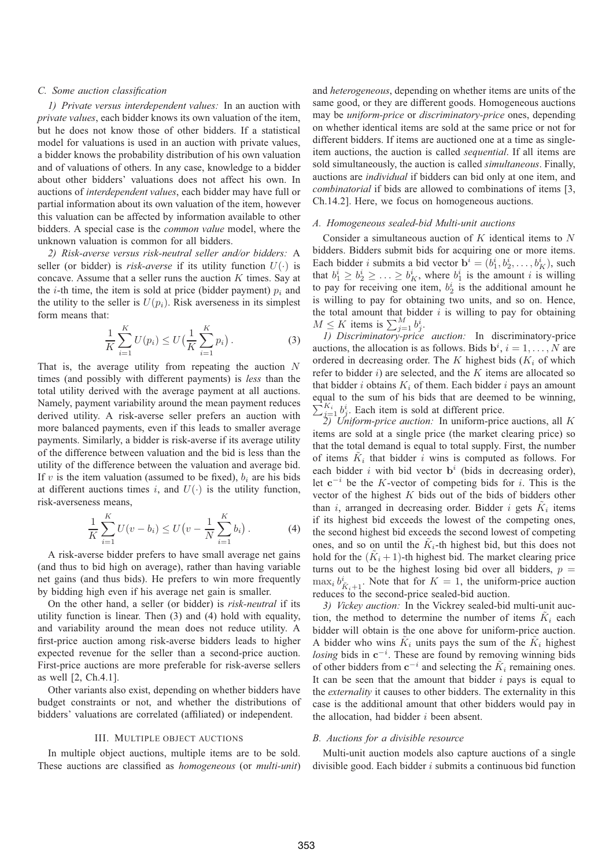## *C. Some auction classification*

*1) Private versus interdependent values:* In an auction with *private values*, each bidder knows its own valuation of the item, but he does not know those of other bidders. If a statistical model for valuations is used in an auction with private values, a bidder knows the probability distribution of his own valuation and of valuations of others. In any case, knowledge to a bidder about other bidders' valuations does not affect his own. In auctions of *interdependent values*, each bidder may have full or partial information about its own valuation of the item, however this valuation can be affected by information available to other bidders. A special case is the *common value* model, where the unknown valuation is common for all bidders.

*2) Risk-averse versus risk-neutral seller and/or bidders:* A seller (or bidder) is *risk-averse* if its utility function  $U(\cdot)$  is concave. Assume that a seller runs the auction  $K$  times. Say at the *i*-th time, the item is sold at price (bidder payment)  $p_i$  and the utility to the seller is  $U(p_i)$ . Risk averseness in its simplest form means that:

$$
\frac{1}{K} \sum_{i=1}^{K} U(p_i) \le U\left(\frac{1}{K} \sum_{i=1}^{K} p_i\right).
$$
 (3)

That is, the average utility from repeating the auction  $N$ times (and possibly with different payments) is *less* than the total utility derived with the average payment at all auctions. Namely, payment variability around the mean payment reduces derived utility. A risk-averse seller prefers an auction with more balanced payments, even if this leads to smaller average payments. Similarly, a bidder is risk-averse if its average utility of the difference between valuation and the bid is less than the utility of the difference between the valuation and average bid. If v is the item valuation (assumed to be fixed),  $b_i$  are his bids at different auctions times i, and  $U(\cdot)$  is the utility function, risk-averseness means,

$$
\frac{1}{K} \sum_{i=1}^{K} U(v - b_i) \le U(v - \frac{1}{N} \sum_{i=1}^{K} b_i).
$$
 (4)

A risk-averse bidder prefers to have small average net gains (and thus to bid high on average), rather than having variable net gains (and thus bids). He prefers to win more frequently by bidding high even if his average net gain is smaller.

On the other hand, a seller (or bidder) is *risk-neutral* if its utility function is linear. Then (3) and (4) hold with equality, and variability around the mean does not reduce utility. A first-price auction among risk-averse bidders leads to higher expected revenue for the seller than a second-price auction. First-price auctions are more preferable for risk-averse sellers as well [2, Ch.4.1].

Other variants also exist, depending on whether bidders have budget constraints or not, and whether the distributions of bidders' valuations are correlated (affiliated) or independent.

# III. MULTIPLE OBJECT AUCTIONS

In multiple object auctions, multiple items are to be sold. These auctions are classified as *homogeneous* (or *multi-unit*) and *heterogeneous*, depending on whether items are units of the same good, or they are different goods. Homogeneous auctions may be *uniform-price* or *discriminatory-price* ones, depending on whether identical items are sold at the same price or not for different bidders. If items are auctioned one at a time as singleitem auctions, the auction is called *sequential*. If all items are sold simultaneously, the auction is called *simultaneous*. Finally, auctions are *individual* if bidders can bid only at one item, and *combinatorial* if bids are allowed to combinations of items [3, Ch.14.2]. Here, we focus on homogeneous auctions.

#### *A. Homogeneous sealed-bid Multi-unit auctions*

Consider a simultaneous auction of  $K$  identical items to  $N$ bidders. Bidders submit bids for acquiring one or more items. Each bidder i submits a bid vector  $\mathbf{b}^i = (b_1^i, b_2^i, \dots, b_K^i)$ , such that  $b^i > b^i > b^i$  where  $b^i$  is the amount i is willing that  $b_1^i \geq b_2^i \geq \ldots \geq b_K^i$ , where  $b_1^i$  is the amount i is willing to pay for receiving one item,  $b_2^i$  is the additional amount he is willing to pay for obtaining two units, and so on. Hence, the total amount that bidder  $i$  is willing to pay for obtaining  $M \leq K$  items is  $\sum_{j=1}^{M} b_j^i$ .

*1) Discriminatory-price auction:* In discriminatory-price auctions, the allocation is as follows. Bids  $\mathbf{b}^i$ ,  $i = 1, \ldots, N$  are ordered in decreasing order. The K highest bids (K, of which ordered in decreasing order. The K highest bids  $(K<sub>i</sub>$  of which refer to bidder  $i$ ) are selected, and the  $K$  items are allocated so that bidder i obtains  $K_i$  of them. Each bidder i pays an amount equal to the sum of his bids that are deemed to be winning,  $\sum_{j=1}^{K_i} b_j^i$ . Each item is sold at different price.

*2) Uniform-price auction:* In uniform-price auctions, all K items are sold at a single price (the market clearing price) so that the total demand is equal to total supply. First, the number of items  $K_i$  that bidder i wins is computed as follows. For each bidder i with bid vector  $\mathbf{b}^i$  (bids in decreasing order), let **c**−<sup>i</sup> be the K-vector of competing bids for i. This is the vector of the highest  $K$  bids out of the bids of bidders other than i, arranged in decreasing order. Bidder i gets  $K_i$  items if its highest bid exceeds the lowest of the competing ones, the second highest bid exceeds the second lowest of competing ones, and so on until the  $K_i$ -th highest bid, but this does not hold for the  $(K<sub>i</sub> + 1)$ -th highest bid. The market clearing price turns out to be the highest losing bid over all bidders,  $p =$  $\max_i b_{\tilde{K}_i+1}^i$ . Note that for  $K = 1$ , the uniform-price auction reduces to the second-price sealed-bid auction.

*3) Vickey auction:* In the Vickrey sealed-bid multi-unit auction, the method to determine the number of items  $K_i$  each bidder will obtain is the one above for uniform-price auction. A bidder who wins  $\tilde{K}_i$  units pays the sum of the  $\tilde{K}_i$  highest *losing* bids in  $c^{-i}$ . These are found by removing winning bids of other bidders from  $c^{-i}$  and selecting the  $K_i$  remaining ones. It can be seen that the amount that bidder  $i$  pays is equal to the *externality* it causes to other bidders. The externality in this case is the additional amount that other bidders would pay in the allocation, had bidder  $i$  been absent.

## *B. Auctions for a divisible resource*

Multi-unit auction models also capture auctions of a single divisible good. Each bidder  $i$  submits a continuous bid function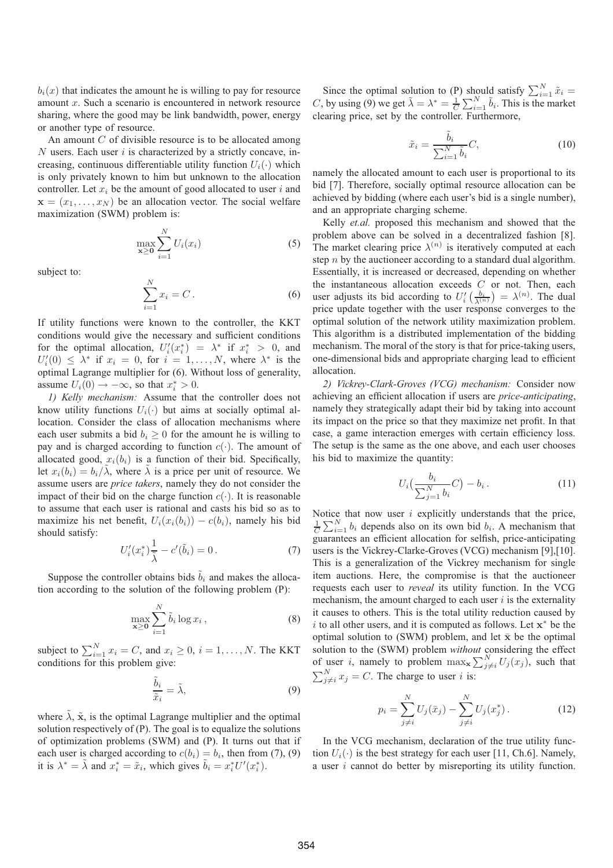$b_i(x)$  that indicates the amount he is willing to pay for resource amount x. Such a scenario is encountered in network resource sharing, where the good may be link bandwidth, power, energy or another type of resource.

An amount  $C$  of divisible resource is to be allocated among  $N$  users. Each user  $i$  is characterized by a strictly concave, increasing, continuous differentiable utility function  $U_i(\cdot)$  which is only privately known to him but unknown to the allocation controller. Let  $x_i$  be the amount of good allocated to user i and  $\mathbf{x} = (x_1, \dots, x_N)$  be an allocation vector. The social welfare maximization (SWM) problem is:

$$
\max_{\mathbf{x} \ge \mathbf{0}} \sum_{i=1}^{N} U_i(x_i) \tag{5}
$$

subject to:

$$
\sum_{i=1}^{N} x_i = C.
$$
\n(6)

If utility functions were known to the controller, the KKT conditions would give the necessary and sufficient conditions for the optimal allocation,  $U_i'(x_i^*) = \lambda^*$  if  $x_i^* > 0$ , and  $U_i'(0) < \lambda^*$  if  $x_i = 0$  for  $i = 1$  N, where  $\lambda^*$  is the  $U_i'(0) \leq \lambda^*$  if  $x_i = 0$ , for  $i = 1, ..., N$ , where  $\lambda^*$  is the optimal I agrange multiplier for (6). Without loss of generality optimal Lagrange multiplier for (6). Without loss of generality, assume  $U_i(0) \rightarrow -\infty$ , so that  $x_i^* > 0$ .<br> *L* Kelly machanism: Assume that

*1) Kelly mechanism:* Assume that the controller does not know utility functions  $U_i(\cdot)$  but aims at socially optimal allocation. Consider the class of allocation mechanisms where each user submits a bid  $b_i \geq 0$  for the amount he is willing to pay and is charged according to function  $c(\cdot)$ . The amount of allocated good,  $x_i(b_i)$  is a function of their bid. Specifically, let  $x_i(b_i) = b_i/\lambda$ , where  $\lambda$  is a price per unit of resource. We assume users are *price takers*, namely they do not consider the impact of their bid on the charge function  $c(\cdot)$ . It is reasonable to assume that each user is rational and casts his bid so as to maximize his net benefit,  $U_i(x_i(b_i)) - c(b_i)$ , namely his bid should satisfy:

$$
U'_{i}(x_{i}^{*})\frac{1}{\tilde{\lambda}} - c'(\tilde{b}_{i}) = 0.
$$
 (7)

Suppose the controller obtains bids  $\tilde{b}_i$  and makes the allocation according to the solution of the following problem (P):

$$
\max_{\mathbf{x}\geq\mathbf{0}}\sum_{i=1}^{N}\tilde{b}_{i}\log x_{i},\tag{8}
$$

subject to  $\sum_{i=1}^{N} x_i = C$ , and  $x_i \ge 0$ ,  $i = 1, ..., N$ . The KKT conditions for this problem give:

$$
\frac{\tilde{b}_i}{\tilde{x}_i} = \tilde{\lambda},\tag{9}
$$

where  $\tilde{\lambda}$ ,  $\tilde{\mathbf{x}}$ , is the optimal Lagrange multiplier and the optimal solution respectively of (P). The goal is to equalize the solutions of optimization problems (SWM) and (P). It turns out that if each user is charged according to  $c(b_i) = b_i$ , then from (7), (9) it is  $\lambda^* = \tilde{\lambda}$  and  $x_i^* = \tilde{x}_i$ , which gives  $\tilde{b}_i = x_i^* U'(x_i^*)$ .

Since the optimal solution to (P) should satisfy  $\sum_{i=1}^{N} \tilde{x}_i =$ <br>by using (0) we get  $\tilde{\lambda} = \lambda^* = \frac{1}{N} \sum_{i=1}^{N} \tilde{h}_i$ . This is the market C, by using (9) we get  $\tilde{\lambda} = \lambda^* = \frac{1}{C} \sum_{i=1}^N \tilde{b}_i$ . This is the market clearing price, set by the controller Eurthermore clearing price, set by the controller. Furthermore,

$$
\tilde{x}_i = \frac{\tilde{b}_i}{\sum_{i=1}^N \tilde{b}_i} C,\tag{10}
$$

namely the allocated amount to each user is proportional to its bid [7]. Therefore, socially optimal resource allocation can be achieved by bidding (where each user's bid is a single number), and an appropriate charging scheme.

Kelly *et.al.* proposed this mechanism and showed that the problem above can be solved in a decentralized fashion [8]. The market clearing price  $\lambda^{(n)}$  is iteratively computed at each step *n* by the auctioneer according to a standard dual algorithm. Essentially, it is increased or decreased, depending on whether the instantaneous allocation exceeds  $C$  or not. Then, each user adjusts its bid according to  $U_i'(\frac{b_i}{\lambda^{(n)}}) = \lambda^{(n)}$ . The dual<br>price undate together with the user response converges to the price update together with the user response converges to the optimal solution of the network utility maximization problem. This algorithm is a distributed implementation of the bidding mechanism. The moral of the story is that for price-taking users, one-dimensional bids and appropriate charging lead to efficient allocation.

*2) Vickrey-Clark-Groves (VCG) mechanism:* Consider now achieving an efficient allocation if users are *price-anticipating*, namely they strategically adapt their bid by taking into account its impact on the price so that they maximize net profit. In that case, a game interaction emerges with certain efficiency loss. The setup is the same as the one above, and each user chooses his bid to maximize the quantity:

$$
U_i\left(\frac{b_i}{\sum_{j=1}^N b_i}C\right) - b_i.
$$
 (11)

Notice that now user  $i$  explicitly understands that the price,  $\frac{1}{C} \sum_{i=1}^{N} b_i$  depends also on its own bid  $b_i$ . A mechanism that guarantees an efficient allocation for selfish, price-anticipating users is the Vickrey-Clarke-Groves (VCG) mechanism [9],[10]. This is a generalization of the Vickrey mechanism for single item auctions. Here, the compromise is that the auctioneer requests each user to *reveal* its utility function. In the VCG mechanism, the amount charged to each user  $i$  is the externality it causes to others. This is the total utility reduction caused by i to all other users, and it is computed as follows. Let **x**<sup>∗</sup> be the optimal solution to (SWM) problem, and let  $\bar{x}$  be the optimal solution to the (SWM) problem *without* considering the effect of user *i*, namely to problem  $\max_{\mathbf{x}} \sum_{j \neq i}^{N} U_j(x_j)$ , such that  $\sum_{j \neq i}^{N} x_j = C$ . The charge to user *i* is:

$$
p_i = \sum_{j \neq i}^{N} U_j(\bar{x}_j) - \sum_{j \neq i}^{N} U_j(x_j^*).
$$
 (12)

In the VCG mechanism, declaration of the true utility function  $U_i(\cdot)$  is the best strategy for each user [11, Ch.6]. Namely, a user i cannot do better by misreporting its utility function.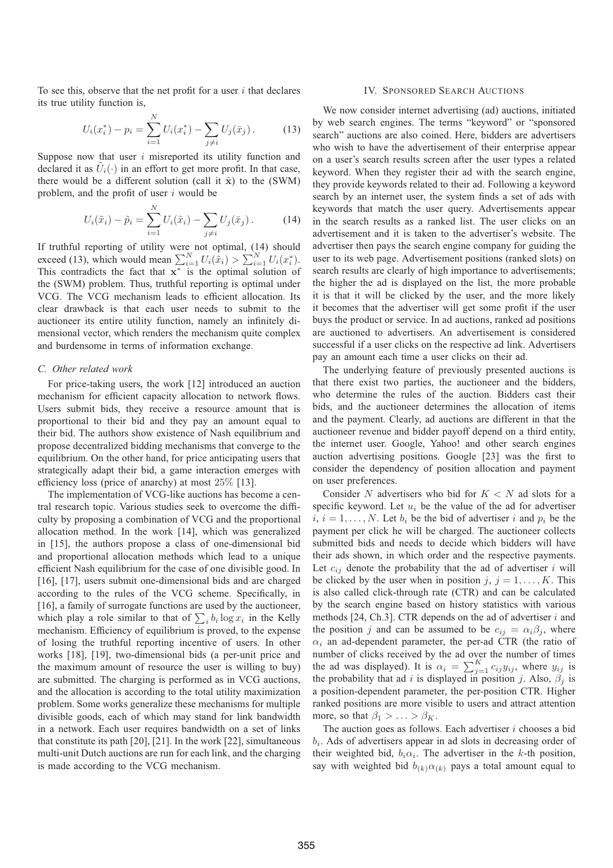To see this, observe that the net profit for a user  $i$  that declares its true utility function is,

$$
U_i(x_i^*) - p_i = \sum_{i=1}^N U_i(x_i^*) - \sum_{j \neq i} U_j(\bar{x}_j).
$$
 (13)

Suppose now that user  $i$  misreported its utility function and declared it as  $U_i(\cdot)$  in an effort to get more profit. In that case, there would be a different solution (call it  $\tilde{x}$ ) to the (SWM) problem, and the profit of user i would be

$$
U_i(\tilde{x}_i) - \tilde{p}_i = \sum_{i=1}^{N} U_i(\tilde{x}_i) - \sum_{j \neq i} U_j(\bar{x}_j).
$$
 (14)

If truthful reporting of utility were not optimal, (14) should exceed (13), which would mean  $\sum_{i=1}^{N} U_i(\tilde{x}_i) > \sum_{i=1}^{N} U_i(x_i^*)$ .<br>This contradicts the fact that **x**<sup>\*</sup> is the optimal solution of the (SWM) problem. Thus, truthful reporting is optimal under VCG. The VCG mechanism leads to efficient allocation. Its clear drawback is that each user needs to submit to the auctioneer its entire utility function, namely an infinitely dimensional vector, which renders the mechanism quite complex and burdensome in terms of information exchange.

## *C. Other related work*

For price-taking users, the work [12] introduced an auction mechanism for efficient capacity allocation to network flows. Users submit bids, they receive a resource amount that is proportional to their bid and they pay an amount equal to their bid. The authors show existence of Nash equilibrium and propose decentralized bidding mechanisms that converge to the equilibrium. On the other hand, for price anticipating users that strategically adapt their bid, a game interaction emerges with efficiency loss (price of anarchy) at most 25% [13].

The implementation of VCG-like auctions has become a central research topic. Various studies seek to overcome the difficulty by proposing a combination of VCG and the proportional allocation method. In the work [14], which was generalized in [15], the authors propose a class of one-dimensional bid and proportional allocation methods which lead to a unique efficient Nash equilibrium for the case of one divisible good. In [16], [17], users submit one-dimensional bids and are charged according to the rules of the VCG scheme. Specifically, in [16], a family of surrogate functions are used by the auctioneer, which play a role similar to that of  $\sum_i b_i \log x_i$  in the Kelly<br>mechanism. Efficiency of equilibrium is proved to the expense mechanism. Efficiency of equilibrium is proved, to the expense of losing the truthful reporting incentive of users. In other works [18], [19], two-dimensional bids (a per-unit price and the maximum amount of resource the user is willing to buy) are submitted. The charging is performed as in VCG auctions, and the allocation is according to the total utility maximization problem. Some works generalize these mechanisms for multiple divisible goods, each of which may stand for link bandwidth in a network. Each user requires bandwidth on a set of links that constitute its path [20], [21]. In the work [22], simultaneous multi-unit Dutch auctions are run for each link, and the charging is made according to the VCG mechanism.

## IV. SPONSORED SEARCH AUCTIONS

We now consider internet advertising (ad) auctions, initiated by web search engines. The terms "keyword" or "sponsored search" auctions are also coined. Here, bidders are advertisers who wish to have the advertisement of their enterprise appear on a user's search results screen after the user types a related keyword. When they register their ad with the search engine, they provide keywords related to their ad. Following a keyword search by an internet user, the system finds a set of ads with keywords that match the user query. Advertisements appear in the search results as a ranked list. The user clicks on an advertisement and it is taken to the advertiser's website. The advertiser then pays the search engine company for guiding the user to its web page. Advertisement positions (ranked slots) on search results are clearly of high importance to advertisements; the higher the ad is displayed on the list, the more probable it is that it will be clicked by the user, and the more likely it becomes that the advertiser will get some profit if the user buys the product or service. In ad auctions, ranked ad positions are auctioned to advertisers. An advertisement is considered successful if a user clicks on the respective ad link. Advertisers pay an amount each time a user clicks on their ad.

The underlying feature of previously presented auctions is that there exist two parties, the auctioneer and the bidders, who determine the rules of the auction. Bidders cast their bids, and the auctioneer determines the allocation of items and the payment. Clearly, ad auctions are different in that the auctioneer revenue and bidder payoff depend on a third entity, the internet user. Google, Yahoo! and other search engines auction advertising positions. Google [23] was the first to consider the dependency of position allocation and payment on user preferences.

Consider N advertisers who bid for  $K < N$  ad slots for a specific keyword. Let  $u_i$  be the value of the ad for advertiser  $i, i = 1, \ldots, N$ . Let  $b_i$  be the bid of advertiser i and  $p_i$  be the payment per click he will be charged. The auctioneer collects submitted bids and needs to decide which bidders will have their ads shown, in which order and the respective payments. Let  $c_{ij}$  denote the probability that the ad of advertiser i will be clicked by the user when in position  $j, j = 1, \ldots, K$ . This is also called click-through rate (CTR) and can be calculated by the search engine based on history statistics with various methods [24, Ch.3]. CTR depends on the ad of advertiser  $i$  and the position j and can be assumed to be  $c_{ij} = \alpha_i \beta_j$ , where  $\alpha_i$  an ad-dependent parameter, the per-ad CTR (the ratio of number of clicks received by the ad over the number of times the ad was displayed). It is  $\alpha_i = \sum_{j=1}^K c_{ij} y_{ij}$ , where  $y_{ij}$  is the probability that ad i is displayed in position i. Also  $\beta$ , is the probability that ad i is displayed in position j. Also,  $\beta_j$  is a position-dependent parameter, the per-position CTR. Higher ranked positions are more visible to users and attract attention more, so that  $\beta_1 > \ldots > \beta_K$ .

The auction goes as follows. Each advertiser  $i$  chooses a bid  $b_i$ . Ads of advertisers appear in ad slots in decreasing order of their weighted bid,  $b_i \alpha_i$ . The advertiser in the k-th position, say with weighted bid  $b_{(k)} \alpha_{(k)}$  pays a total amount equal to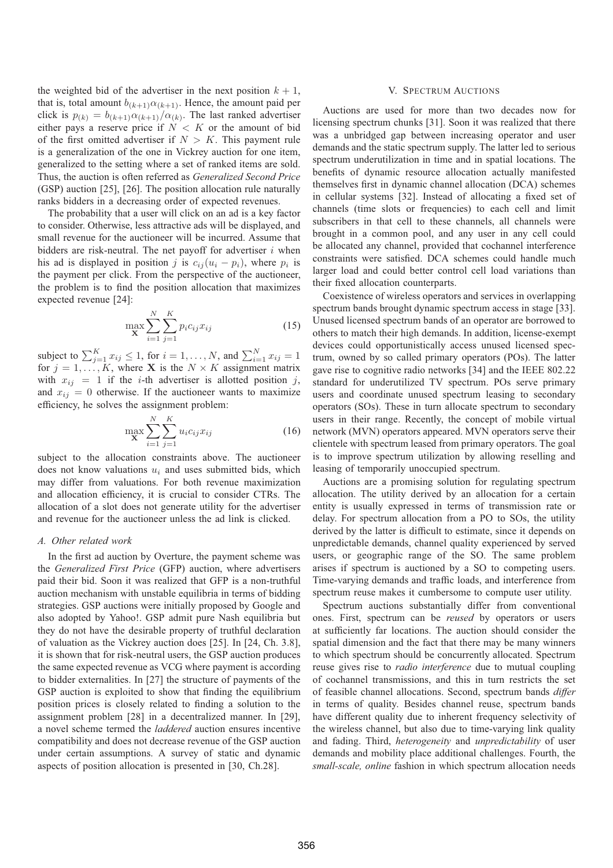the weighted bid of the advertiser in the next position  $k + 1$ , that is, total amount  $b_{(k+1)} \alpha_{(k+1)}$ . Hence, the amount paid per click is  $p_{(k)} = b_{(k+1)} \alpha_{(k+1)} / \alpha_{(k)}$ . The last ranked advertiser either pays a reserve price if  $N < K$  or the amount of bid of the first omitted advertiser if  $N > K$ . This payment rule is a generalization of the one in Vickrey auction for one item, generalized to the setting where a set of ranked items are sold. Thus, the auction is often referred as *Generalized Second Price* (GSP) auction [25], [26]. The position allocation rule naturally ranks bidders in a decreasing order of expected revenues.

The probability that a user will click on an ad is a key factor to consider. Otherwise, less attractive ads will be displayed, and small revenue for the auctioneer will be incurred. Assume that bidders are risk-neutral. The net payoff for advertiser  $i$  when his ad is displayed in position j is  $c_{ij} (u_i - p_i)$ , where  $p_i$  is the payment per click. From the perspective of the auctioneer, the problem is to find the position allocation that maximizes expected revenue [24]:

$$
\max_{\mathbf{X}} \sum_{i=1}^{N} \sum_{j=1}^{K} p_i c_{ij} x_{ij}
$$
 (15)

subject to  $\sum_{j=1}^{K} x_{ij} \leq 1$ , for  $i = 1, ..., N$ , and  $\sum_{i=1}^{N} x_{ij} = 1$  for  $i = 1$  K, where **X** is the  $N \times K$  assignment matrix for  $j = 1, \ldots, K$ , where **X** is the  $N \times K$  assignment matrix with  $x_{ij} = 1$  if the *i*-th advertiser is allotted position j, and  $x_{ij} = 0$  otherwise. If the auctioneer wants to maximize efficiency, he solves the assignment problem:

$$
\max_{\mathbf{X}} \sum_{i=1}^{N} \sum_{j=1}^{K} u_i c_{ij} x_{ij}
$$
 (16)

subject to the allocation constraints above. The auctioneer does not know valuations  $u_i$  and uses submitted bids, which may differ from valuations. For both revenue maximization and allocation efficiency, it is crucial to consider CTRs. The allocation of a slot does not generate utility for the advertiser and revenue for the auctioneer unless the ad link is clicked.

## *A. Other related work*

In the first ad auction by Overture, the payment scheme was the *Generalized First Price* (GFP) auction, where advertisers paid their bid. Soon it was realized that GFP is a non-truthful auction mechanism with unstable equilibria in terms of bidding strategies. GSP auctions were initially proposed by Google and also adopted by Yahoo!. GSP admit pure Nash equilibria but they do not have the desirable property of truthful declaration of valuation as the Vickrey auction does [25]. In [24, Ch. 3.8], it is shown that for risk-neutral users, the GSP auction produces the same expected revenue as VCG where payment is according to bidder externalities. In [27] the structure of payments of the GSP auction is exploited to show that finding the equilibrium position prices is closely related to finding a solution to the assignment problem [28] in a decentralized manner. In [29], a novel scheme termed the *laddered* auction ensures incentive compatibility and does not decrease revenue of the GSP auction under certain assumptions. A survey of static and dynamic aspects of position allocation is presented in [30, Ch.28].

## V. SPECTRUM AUCTIONS

Auctions are used for more than two decades now for licensing spectrum chunks [31]. Soon it was realized that there was a unbridged gap between increasing operator and user demands and the static spectrum supply. The latter led to serious spectrum underutilization in time and in spatial locations. The benefits of dynamic resource allocation actually manifested themselves first in dynamic channel allocation (DCA) schemes in cellular systems [32]. Instead of allocating a fixed set of channels (time slots or frequencies) to each cell and limit subscribers in that cell to these channels, all channels were brought in a common pool, and any user in any cell could be allocated any channel, provided that cochannel interference constraints were satisfied. DCA schemes could handle much larger load and could better control cell load variations than their fixed allocation counterparts.

Coexistence of wireless operators and services in overlapping spectrum bands brought dynamic spectrum access in stage [33]. Unused licensed spectrum bands of an operator are borrowed to others to match their high demands. In addition, license-exempt devices could opportunistically access unused licensed spectrum, owned by so called primary operators (POs). The latter gave rise to cognitive radio networks [34] and the IEEE 802.22 standard for underutilized TV spectrum. POs serve primary users and coordinate unused spectrum leasing to secondary operators (SOs). These in turn allocate spectrum to secondary users in their range. Recently, the concept of mobile virtual network (MVN) operators appeared. MVN operators serve their clientele with spectrum leased from primary operators. The goal is to improve spectrum utilization by allowing reselling and leasing of temporarily unoccupied spectrum.

Auctions are a promising solution for regulating spectrum allocation. The utility derived by an allocation for a certain entity is usually expressed in terms of transmission rate or delay. For spectrum allocation from a PO to SOs, the utility derived by the latter is difficult to estimate, since it depends on unpredictable demands, channel quality experienced by served users, or geographic range of the SO. The same problem arises if spectrum is auctioned by a SO to competing users. Time-varying demands and traffic loads, and interference from spectrum reuse makes it cumbersome to compute user utility.

Spectrum auctions substantially differ from conventional ones. First, spectrum can be *reused* by operators or users at sufficiently far locations. The auction should consider the spatial dimension and the fact that there may be many winners to which spectrum should be concurrently allocated. Spectrum reuse gives rise to *radio interference* due to mutual coupling of cochannel transmissions, and this in turn restricts the set of feasible channel allocations. Second, spectrum bands *differ* in terms of quality. Besides channel reuse, spectrum bands have different quality due to inherent frequency selectivity of the wireless channel, but also due to time-varying link quality and fading. Third, *heterogeneity* and *unpredictability* of user demands and mobility place additional challenges. Fourth, the *small-scale, online* fashion in which spectrum allocation needs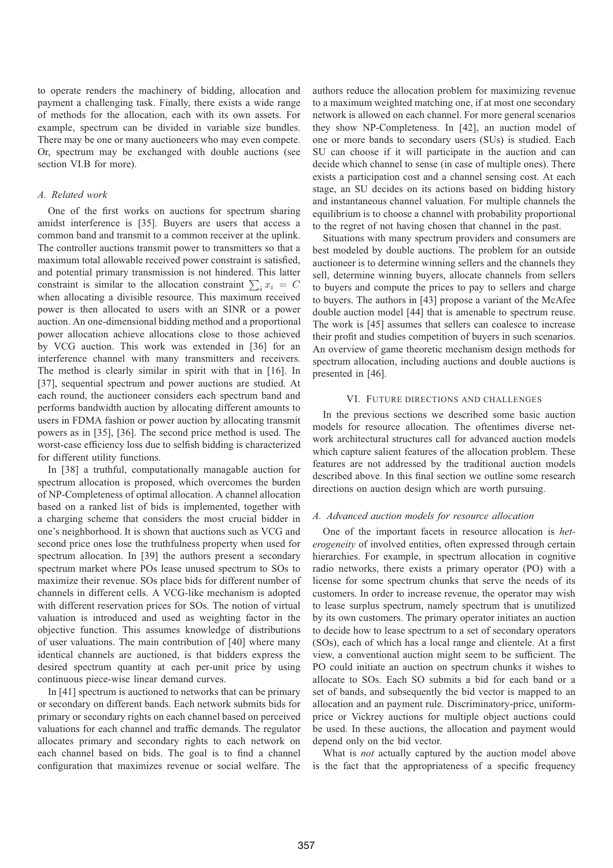to operate renders the machinery of bidding, allocation and payment a challenging task. Finally, there exists a wide range of methods for the allocation, each with its own assets. For example, spectrum can be divided in variable size bundles. There may be one or many auctioneers who may even compete. Or, spectrum may be exchanged with double auctions (see section VI.B for more).

### *A. Related work*

One of the first works on auctions for spectrum sharing amidst interference is [35]. Buyers are users that access a common band and transmit to a common receiver at the uplink. The controller auctions transmit power to transmitters so that a maximum total allowable received power constraint is satisfied, and potential primary transmission is not hindered. This latter constraint is similar to the allocation constraint  $\sum_i x_i = C$ <br>when allocating a divisible resource. This maximum received when allocating a divisible resource. This maximum received power is then allocated to users with an SINR or a power auction. An one-dimensional bidding method and a proportional power allocation achieve allocations close to those achieved by VCG auction. This work was extended in [36] for an interference channel with many transmitters and receivers. The method is clearly similar in spirit with that in [16]. In [37], sequential spectrum and power auctions are studied. At each round, the auctioneer considers each spectrum band and performs bandwidth auction by allocating different amounts to users in FDMA fashion or power auction by allocating transmit powers as in [35], [36]. The second price method is used. The worst-case efficiency loss due to selfish bidding is characterized for different utility functions.

In [38] a truthful, computationally managable auction for spectrum allocation is proposed, which overcomes the burden of NP-Completeness of optimal allocation. A channel allocation based on a ranked list of bids is implemented, together with a charging scheme that considers the most crucial bidder in one's neighborhood. It is shown that auctions such as VCG and second price ones lose the truthfulness property when used for spectrum allocation. In [39] the authors present a secondary spectrum market where POs lease unused spectrum to SOs to maximize their revenue. SOs place bids for different number of channels in different cells. A VCG-like mechanism is adopted with different reservation prices for SOs. The notion of virtual valuation is introduced and used as weighting factor in the objective function. This assumes knowledge of distributions of user valuations. The main contribution of [40] where many identical channels are auctioned, is that bidders express the desired spectrum quantity at each per-unit price by using continuous piece-wise linear demand curves.

In [41] spectrum is auctioned to networks that can be primary or secondary on different bands. Each network submits bids for primary or secondary rights on each channel based on perceived valuations for each channel and traffic demands. The regulator allocates primary and secondary rights to each network on each channel based on bids. The goal is to find a channel configuration that maximizes revenue or social welfare. The

authors reduce the allocation problem for maximizing revenue to a maximum weighted matching one, if at most one secondary network is allowed on each channel. For more general scenarios they show NP-Completeness. In [42], an auction model of one or more bands to secondary users (SUs) is studied. Each SU can choose if it will participate in the auction and can decide which channel to sense (in case of multiple ones). There exists a participation cost and a channel sensing cost. At each stage, an SU decides on its actions based on bidding history and instantaneous channel valuation. For multiple channels the equilibrium is to choose a channel with probability proportional to the regret of not having chosen that channel in the past.

Situations with many spectrum providers and consumers are best modeled by double auctions. The problem for an outside auctioneer is to determine winning sellers and the channels they sell, determine winning buyers, allocate channels from sellers to buyers and compute the prices to pay to sellers and charge to buyers. The authors in [43] propose a variant of the McAfee double auction model [44] that is amenable to spectrum reuse. The work is [45] assumes that sellers can coalesce to increase their profit and studies competition of buyers in such scenarios. An overview of game theoretic mechanism design methods for spectrum allocation, including auctions and double auctions is presented in [46].

## VI. FUTURE DIRECTIONS AND CHALLENGES

In the previous sections we described some basic auction models for resource allocation. The oftentimes diverse network architectural structures call for advanced auction models which capture salient features of the allocation problem. These features are not addressed by the traditional auction models described above. In this final section we outline some research directions on auction design which are worth pursuing.

# *A. Advanced auction models for resource allocation*

One of the important facets in resource allocation is *heterogeneity* of involved entities, often expressed through certain hierarchies. For example, in spectrum allocation in cognitive radio networks, there exists a primary operator (PO) with a license for some spectrum chunks that serve the needs of its customers. In order to increase revenue, the operator may wish to lease surplus spectrum, namely spectrum that is unutilized by its own customers. The primary operator initiates an auction to decide how to lease spectrum to a set of secondary operators (SOs), each of which has a local range and clientele. At a first view, a conventional auction might seem to be sufficient. The PO could initiate an auction on spectrum chunks it wishes to allocate to SOs. Each SO submits a bid for each band or a set of bands, and subsequently the bid vector is mapped to an allocation and an payment rule. Discriminatory-price, uniformprice or Vickrey auctions for multiple object auctions could be used. In these auctions, the allocation and payment would depend only on the bid vector.

What is *not* actually captured by the auction model above is the fact that the appropriateness of a specific frequency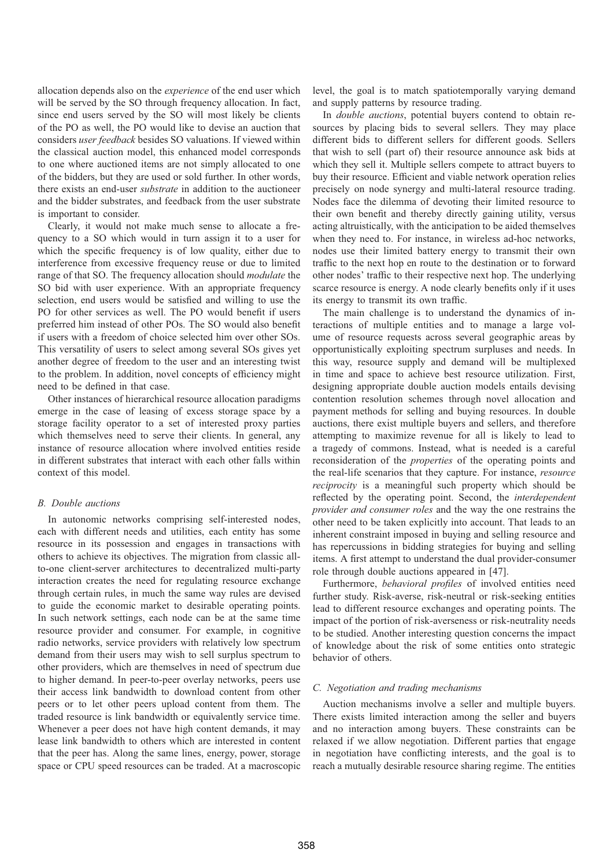allocation depends also on the *experience* of the end user which will be served by the SO through frequency allocation. In fact, since end users served by the SO will most likely be clients of the PO as well, the PO would like to devise an auction that considers *user feedback* besides SO valuations. If viewed within the classical auction model, this enhanced model corresponds to one where auctioned items are not simply allocated to one of the bidders, but they are used or sold further. In other words, there exists an end-user *substrate* in addition to the auctioneer and the bidder substrates, and feedback from the user substrate is important to consider.

Clearly, it would not make much sense to allocate a frequency to a SO which would in turn assign it to a user for which the specific frequency is of low quality, either due to interference from excessive frequency reuse or due to limited range of that SO. The frequency allocation should *modulate* the SO bid with user experience. With an appropriate frequency selection, end users would be satisfied and willing to use the PO for other services as well. The PO would benefit if users preferred him instead of other POs. The SO would also benefit if users with a freedom of choice selected him over other SOs. This versatility of users to select among several SOs gives yet another degree of freedom to the user and an interesting twist to the problem. In addition, novel concepts of efficiency might need to be defined in that case.

Other instances of hierarchical resource allocation paradigms emerge in the case of leasing of excess storage space by a storage facility operator to a set of interested proxy parties which themselves need to serve their clients. In general, any instance of resource allocation where involved entities reside in different substrates that interact with each other falls within context of this model.

#### *B. Double auctions*

In autonomic networks comprising self-interested nodes, each with different needs and utilities, each entity has some resource in its possession and engages in transactions with others to achieve its objectives. The migration from classic allto-one client-server architectures to decentralized multi-party interaction creates the need for regulating resource exchange through certain rules, in much the same way rules are devised to guide the economic market to desirable operating points. In such network settings, each node can be at the same time resource provider and consumer. For example, in cognitive radio networks, service providers with relatively low spectrum demand from their users may wish to sell surplus spectrum to other providers, which are themselves in need of spectrum due to higher demand. In peer-to-peer overlay networks, peers use their access link bandwidth to download content from other peers or to let other peers upload content from them. The traded resource is link bandwidth or equivalently service time. Whenever a peer does not have high content demands, it may lease link bandwidth to others which are interested in content that the peer has. Along the same lines, energy, power, storage space or CPU speed resources can be traded. At a macroscopic

level, the goal is to match spatiotemporally varying demand and supply patterns by resource trading.

In *double auctions*, potential buyers contend to obtain resources by placing bids to several sellers. They may place different bids to different sellers for different goods. Sellers that wish to sell (part of) their resource announce ask bids at which they sell it. Multiple sellers compete to attract buyers to buy their resource. Efficient and viable network operation relies precisely on node synergy and multi-lateral resource trading. Nodes face the dilemma of devoting their limited resource to their own benefit and thereby directly gaining utility, versus acting altruistically, with the anticipation to be aided themselves when they need to. For instance, in wireless ad-hoc networks, nodes use their limited battery energy to transmit their own traffic to the next hop en route to the destination or to forward other nodes' traffic to their respective next hop. The underlying scarce resource is energy. A node clearly benefits only if it uses its energy to transmit its own traffic.

The main challenge is to understand the dynamics of interactions of multiple entities and to manage a large volume of resource requests across several geographic areas by opportunistically exploiting spectrum surpluses and needs. In this way, resource supply and demand will be multiplexed in time and space to achieve best resource utilization. First, designing appropriate double auction models entails devising contention resolution schemes through novel allocation and payment methods for selling and buying resources. In double auctions, there exist multiple buyers and sellers, and therefore attempting to maximize revenue for all is likely to lead to a tragedy of commons. Instead, what is needed is a careful reconsideration of the *properties* of the operating points and the real-life scenarios that they capture. For instance, *resource reciprocity* is a meaningful such property which should be reflected by the operating point. Second, the *interdependent provider and consumer roles* and the way the one restrains the other need to be taken explicitly into account. That leads to an inherent constraint imposed in buying and selling resource and has repercussions in bidding strategies for buying and selling items. A first attempt to understand the dual provider-consumer role through double auctions appeared in [47].

Furthermore, *behavioral profiles* of involved entities need further study. Risk-averse, risk-neutral or risk-seeking entities lead to different resource exchanges and operating points. The impact of the portion of risk-averseness or risk-neutrality needs to be studied. Another interesting question concerns the impact of knowledge about the risk of some entities onto strategic behavior of others.

### *C. Negotiation and trading mechanisms*

Auction mechanisms involve a seller and multiple buyers. There exists limited interaction among the seller and buyers and no interaction among buyers. These constraints can be relaxed if we allow negotiation. Different parties that engage in negotiation have conflicting interests, and the goal is to reach a mutually desirable resource sharing regime. The entities